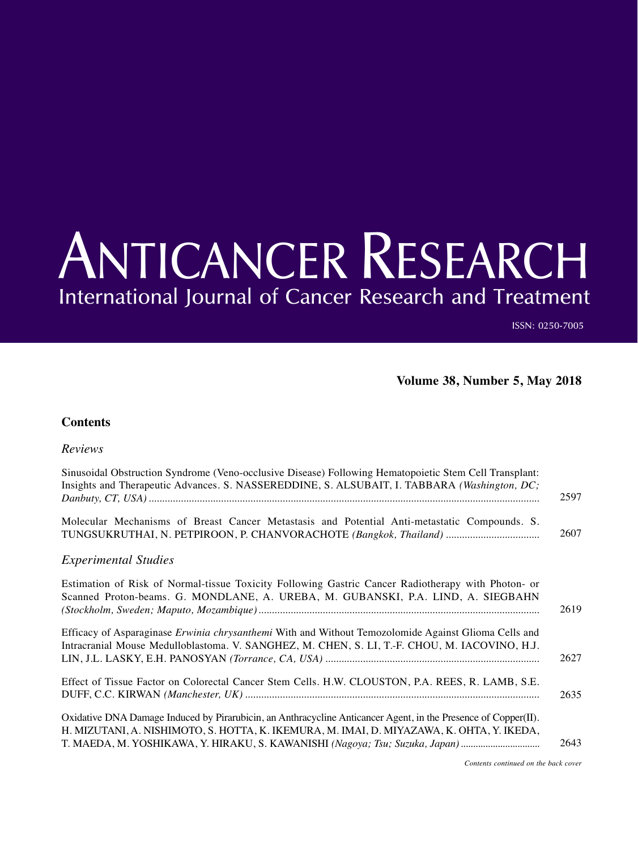## ANTICANCER RESEARCH International Journal of Cancer Research and Treatment

ISSN: 0250-7005

**Volume 38, Number 5, May 2018**

## **Contents**

## *Reviews*

| Sinusoidal Obstruction Syndrome (Veno-occlusive Disease) Following Hematopoietic Stem Cell Transplant:<br>Insights and Therapeutic Advances. S. NASSEREDDINE, S. ALSUBAIT, I. TABBARA (Washington, DC;                                                                                      |      |
|---------------------------------------------------------------------------------------------------------------------------------------------------------------------------------------------------------------------------------------------------------------------------------------------|------|
|                                                                                                                                                                                                                                                                                             | 2597 |
| Molecular Mechanisms of Breast Cancer Metastasis and Potential Anti-metastatic Compounds. S.<br>TUNGSUKRUTHAI, N. PETPIROON, P. CHANVORACHOTE (Bangkok, Thailand)                                                                                                                           | 2607 |
| <b>Experimental Studies</b>                                                                                                                                                                                                                                                                 |      |
| Estimation of Risk of Normal-tissue Toxicity Following Gastric Cancer Radiotherapy with Photon- or<br>Scanned Proton-beams. G. MONDLANE, A. UREBA, M. GUBANSKI, P.A. LIND, A. SIEGBAHN                                                                                                      | 2619 |
| Efficacy of Asparaginase Erwinia chrysanthemi With and Without Temozolomide Against Glioma Cells and<br>Intracranial Mouse Medulloblastoma. V. SANGHEZ, M. CHEN, S. LI, T.-F. CHOU, M. IACOVINO, H.J.                                                                                       | 2627 |
| Effect of Tissue Factor on Colorectal Cancer Stem Cells. H.W. CLOUSTON, P.A. REES, R. LAMB, S.E.                                                                                                                                                                                            | 2635 |
| Oxidative DNA Damage Induced by Pirarubicin, an Anthracycline Anticancer Agent, in the Presence of Copper(II).<br>H. MIZUTANI, A. NISHIMOTO, S. HOTTA, K. IKEMURA, M. IMAI, D. MIYAZAWA, K. OHTA, Y. IKEDA,<br>T. MAEDA, M. YOSHIKAWA, Y. HIRAKU, S. KAWANISHI (Nagoya; Tsu; Suzuka, Japan) | 2643 |

*Contents continued on the back cover*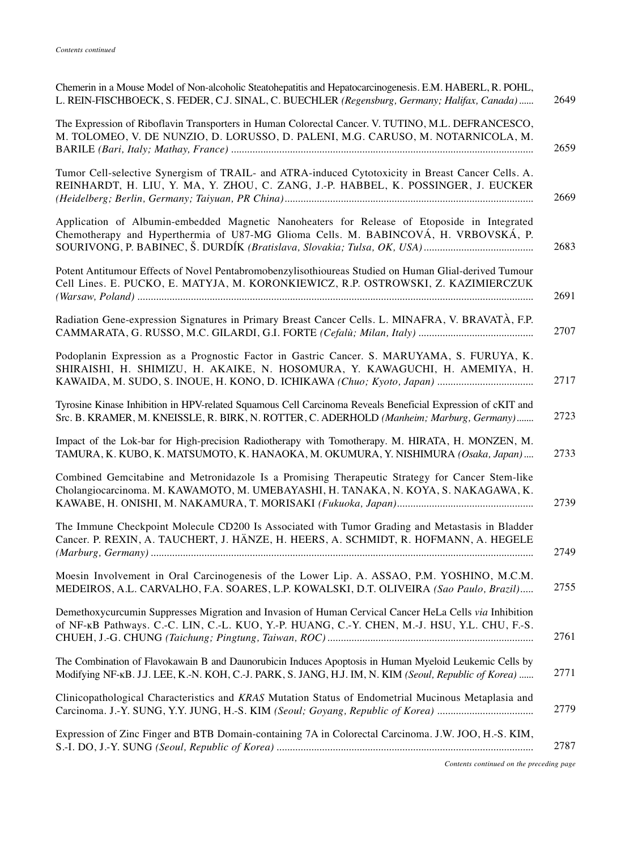| Chemerin in a Mouse Model of Non-alcoholic Steatohepatitis and Hepatocarcinogenesis. E.M. HABERL, R. POHL,<br>L. REIN-FISCHBOECK, S. FEDER, C.J. SINAL, C. BUECHLER (Regensburg, Germany; Halifax, Canada)<br>2649      |  |
|-------------------------------------------------------------------------------------------------------------------------------------------------------------------------------------------------------------------------|--|
| The Expression of Riboflavin Transporters in Human Colorectal Cancer. V. TUTINO, M.L. DEFRANCESCO,<br>M. TOLOMEO, V. DE NUNZIO, D. LORUSSO, D. PALENI, M.G. CARUSO, M. NOTARNICOLA, M.<br>2659                          |  |
| Tumor Cell-selective Synergism of TRAIL- and ATRA-induced Cytotoxicity in Breast Cancer Cells. A.<br>REINHARDT, H. LIU, Y. MA, Y. ZHOU, C. ZANG, J.-P. HABBEL, K. POSSINGER, J. EUCKER<br>2669                          |  |
| Application of Albumin-embedded Magnetic Nanoheaters for Release of Etoposide in Integrated<br>Chemotherapy and Hyperthermia of U87-MG Glioma Cells. M. BABINCOVÁ, H. VRBOVSKÁ, P.<br>2683                              |  |
| Potent Antitumour Effects of Novel Pentabromobenzylisothioureas Studied on Human Glial-derived Tumour<br>Cell Lines. E. PUCKO, E. MATYJA, M. KORONKIEWICZ, R.P. OSTROWSKI, Z. KAZIMIERCZUK<br>2691                      |  |
| Radiation Gene-expression Signatures in Primary Breast Cancer Cells. L. MINAFRA, V. BRAVATÀ, F.P.<br>2707                                                                                                               |  |
| Podoplanin Expression as a Prognostic Factor in Gastric Cancer. S. MARUYAMA, S. FURUYA, K.<br>SHIRAISHI, H. SHIMIZU, H. AKAIKE, N. HOSOMURA, Y. KAWAGUCHI, H. AMEMIYA, H.<br>2717                                       |  |
| Tyrosine Kinase Inhibition in HPV-related Squamous Cell Carcinoma Reveals Beneficial Expression of cKIT and<br>2723<br>Src. B. KRAMER, M. KNEISSLE, R. BIRK, N. ROTTER, C. ADERHOLD (Manheim; Marburg, Germany)         |  |
| Impact of the Lok-bar for High-precision Radiotherapy with Tomotherapy. M. HIRATA, H. MONZEN, M.<br>TAMURA, K. KUBO, K. MATSUMOTO, K. HANAOKA, M. OKUMURA, Y. NISHIMURA (Osaka, Japan)<br>2733                          |  |
| Combined Gemcitabine and Metronidazole Is a Promising Therapeutic Strategy for Cancer Stem-like<br>Cholangiocarcinoma. M. KAWAMOTO, M. UMEBAYASHI, H. TANAKA, N. KOYA, S. NAKAGAWA, K.<br>2739                          |  |
| The Immune Checkpoint Molecule CD200 Is Associated with Tumor Grading and Metastasis in Bladder<br>Cancer. P. REXIN, A. TAUCHERT, J. HÄNZE, H. HEERS, A. SCHMIDT, R. HOFMANN, A. HEGELE<br>2749                         |  |
| Moesin Involvement in Oral Carcinogenesis of the Lower Lip. A. ASSAO, P.M. YOSHINO, M.C.M.<br>2755<br>MEDEIROS, A.L. CARVALHO, F.A. SOARES, L.P. KOWALSKI, D.T. OLIVEIRA (Sao Paulo, Brazil)                            |  |
| Demethoxycurcumin Suppresses Migration and Invasion of Human Cervical Cancer HeLa Cells via Inhibition<br>of NF-KB Pathways. C.-C. LIN, C.-L. KUO, Y.-P. HUANG, C.-Y. CHEN, M.-J. HSU, Y.L. CHU, F.-S.<br>2761          |  |
| The Combination of Flavokawain B and Daunorubicin Induces Apoptosis in Human Myeloid Leukemic Cells by<br>2771<br>Modifying NF-KB. J.J. LEE, K.-N. KOH, C.-J. PARK, S. JANG, H.J. IM, N. KIM (Seoul, Republic of Korea) |  |
| Clinicopathological Characteristics and KRAS Mutation Status of Endometrial Mucinous Metaplasia and<br>2779                                                                                                             |  |
| Expression of Zinc Finger and BTB Domain-containing 7A in Colorectal Carcinoma. J.W. JOO, H.-S. KIM,<br>2787                                                                                                            |  |
|                                                                                                                                                                                                                         |  |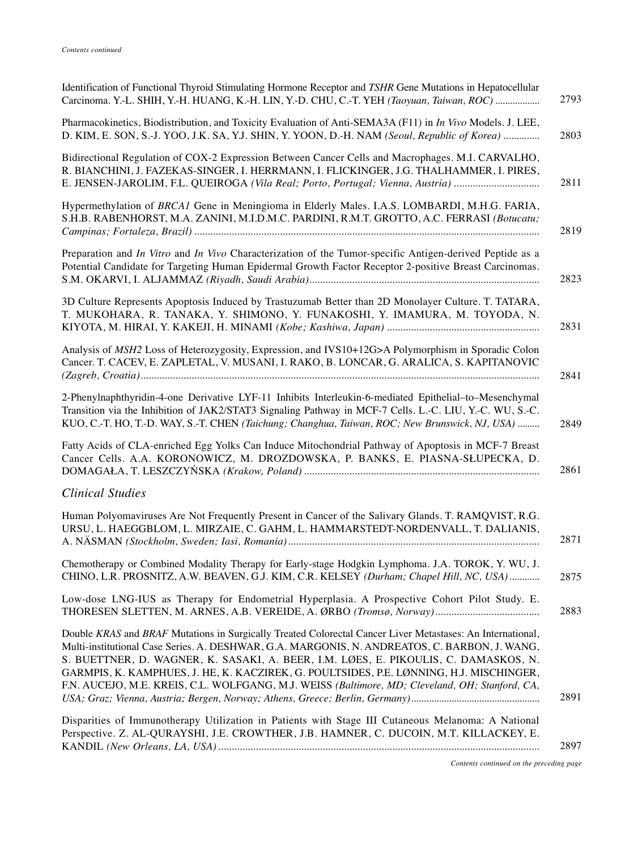| Identification of Functional Thyroid Stimulating Hormone Receptor and TSHR Gene Mutations in Hepatocellular<br>Carcinoma. Y.-L. SHIH, Y.-H. HUANG, K.-H. LIN, Y.-D. CHU, C.-T. YEH (Taoyuan, Taiwan, ROC)                                                                                                                                                                                                                                                                                        | 2793 |
|--------------------------------------------------------------------------------------------------------------------------------------------------------------------------------------------------------------------------------------------------------------------------------------------------------------------------------------------------------------------------------------------------------------------------------------------------------------------------------------------------|------|
| Pharmacokinetics, Biodistribution, and Toxicity Evaluation of Anti-SEMA3A (F11) in In Vivo Models. J. LEE,<br>D. KIM, E. SON, S.-J. YOO, J.K. SA, Y.J. SHIN, Y. YOON, D.-H. NAM (Seoul, Republic of Korea)                                                                                                                                                                                                                                                                                       | 2803 |
| Bidirectional Regulation of COX-2 Expression Between Cancer Cells and Macrophages. M.I. CARVALHO,<br>R. BIANCHINI, J. FAZEKAS-SINGER, I. HERRMANN, I. FLICKINGER, J.G. THALHAMMER, I. PIRES,<br>E. JENSEN-JAROLIM, F.L. QUEIROGA (Vila Real; Porto, Portugal; Vienna, Austria)                                                                                                                                                                                                                   | 2811 |
| Hypermethylation of BRCA1 Gene in Meningioma in Elderly Males. I.A.S. LOMBARDI, M.H.G. FARIA,<br>S.H.B. RABENHORST, M.A. ZANINI, M.I.D.M.C. PARDINI, R.M.T. GROTTO, A.C. FERRASI (Botucatu;                                                                                                                                                                                                                                                                                                      | 2819 |
| Preparation and <i>In Vitro</i> and <i>In Vivo</i> Characterization of the Tumor-specific Antigen-derived Peptide as a<br>Potential Candidate for Targeting Human Epidermal Growth Factor Receptor 2-positive Breast Carcinomas.                                                                                                                                                                                                                                                                 | 2823 |
| 3D Culture Represents Apoptosis Induced by Trastuzumab Better than 2D Monolayer Culture. T. TATARA,<br>T. MUKOHARA, R. TANAKA, Y. SHIMONO, Y. FUNAKOSHI, Y. IMAMURA, M. TOYODA, N.                                                                                                                                                                                                                                                                                                               | 2831 |
| Analysis of MSH2 Loss of Heterozygosity, Expression, and IVS10+12G>A Polymorphism in Sporadic Colon<br>Cancer. T. CACEV, E. ZAPLETAL, V. MUSANI, I. RAKO, B. LONCAR, G. ARALICA, S. KAPITANOVIC                                                                                                                                                                                                                                                                                                  | 2841 |
| 2-Phenylnaphthyridin-4-one Derivative LYF-11 Inhibits Interleukin-6-mediated Epithelial-to-Mesenchymal<br>Transition via the Inhibition of JAK2/STAT3 Signaling Pathway in MCF-7 Cells. L.-C. LIU, Y.-C. WU, S.-C.<br>KUO, C.-T. HO, T.-D. WAY, S.-T. CHEN (Taichung; Changhua, Taiwan, ROC; New Brunswick, NJ, USA)                                                                                                                                                                             | 2849 |
| Fatty Acids of CLA-enriched Egg Yolks Can Induce Mitochondrial Pathway of Apoptosis in MCF-7 Breast<br>Cancer Cells. A.A. KORONOWICZ, M. DROZDOWSKA, P. BANKS, E. PIASNA-SŁUPECKA, D.                                                                                                                                                                                                                                                                                                            | 2861 |
| <b>Clinical Studies</b>                                                                                                                                                                                                                                                                                                                                                                                                                                                                          |      |
| Human Polyomaviruses Are Not Frequently Present in Cancer of the Salivary Glands. T. RAMQVIST, R.G.<br>URSU, L. HAEGGBLOM, L. MIRZAIE, C. GAHM, L. HAMMARSTEDT-NORDENVALL, T. DALIANIS,                                                                                                                                                                                                                                                                                                          | 2871 |
| Chemotherapy or Combined Modality Therapy for Early-stage Hodgkin Lymphoma. J.A. TOROK, Y. WU, J.<br>CHINO, L.R. PROSNITZ, A.W. BEAVEN, G.J. KIM, C.R. KELSEY (Durham; Chapel Hill, NC, USA)                                                                                                                                                                                                                                                                                                     | 2875 |
| Low-dose LNG-IUS as Therapy for Endometrial Hyperplasia. A Prospective Cohort Pilot Study. E.                                                                                                                                                                                                                                                                                                                                                                                                    | 2883 |
| Double KRAS and BRAF Mutations in Surgically Treated Colorectal Cancer Liver Metastases: An International,<br>Multi-institutional Case Series. A. DESHWAR, G.A. MARGONIS, N. ANDREATOS, C. BARBON, J. WANG,<br>S. BUETTNER, D. WAGNER, K. SASAKI, A. BEER, I.M. LØES, E. PIKOULIS, C. DAMASKOS, N.<br>GARMPIS, K. KAMPHUES, J. HE, K. KACZIREK, G. POULTSIDES, P.E. LØNNING, H.J. MISCHINGER,<br>F.N. AUCEJO, M.E. KREIS, C.L. WOLFGANG, M.J. WEISS (Baltimore, MD; Cleveland, OH; Stanford, CA, | 2891 |
| Disparities of Immunotherapy Utilization in Patients with Stage III Cutaneous Melanoma: A National<br>Perspective. Z. AL-QURAYSHI, J.E. CROWTHER, J.B. HAMNER, C. DUCOIN, M.T. KILLACKEY, E.                                                                                                                                                                                                                                                                                                     | 2897 |
|                                                                                                                                                                                                                                                                                                                                                                                                                                                                                                  |      |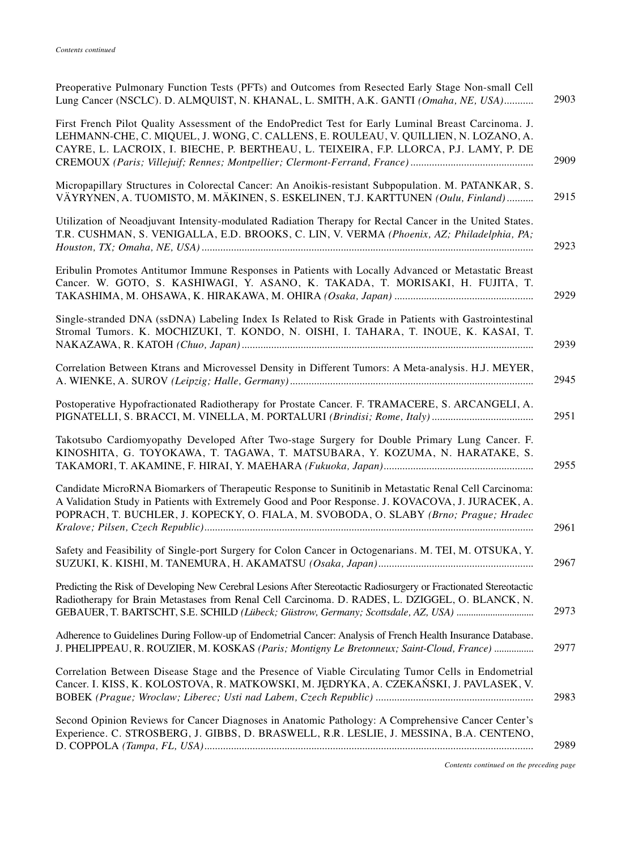| Preoperative Pulmonary Function Tests (PFTs) and Outcomes from Resected Early Stage Non-small Cell<br>Lung Cancer (NSCLC). D. ALMQUIST, N. KHANAL, L. SMITH, A.K. GANTI (Omaha, NE, USA)                                                                                                                     | 2903 |
|--------------------------------------------------------------------------------------------------------------------------------------------------------------------------------------------------------------------------------------------------------------------------------------------------------------|------|
| First French Pilot Quality Assessment of the EndoPredict Test for Early Luminal Breast Carcinoma. J.<br>LEHMANN-CHE, C. MIQUEL, J. WONG, C. CALLENS, E. ROULEAU, V. QUILLIEN, N. LOZANO, A.<br>CAYRE, L. LACROIX, I. BIECHE, P. BERTHEAU, L. TEIXEIRA, F.P. LLORCA, P.J. LAMY, P. DE                         | 2909 |
| Micropapillary Structures in Colorectal Cancer: An Anoikis-resistant Subpopulation. M. PATANKAR, S.<br>VÄYRYNEN, A. TUOMISTO, M. MÄKINEN, S. ESKELINEN, T.J. KARTTUNEN (Oulu, Finland)                                                                                                                       | 2915 |
| Utilization of Neoadjuvant Intensity-modulated Radiation Therapy for Rectal Cancer in the United States.<br>T.R. CUSHMAN, S. VENIGALLA, E.D. BROOKS, C. LIN, V. VERMA (Phoenix, AZ; Philadelphia, PA;                                                                                                        | 2923 |
| Eribulin Promotes Antitumor Immune Responses in Patients with Locally Advanced or Metastatic Breast<br>Cancer. W. GOTO, S. KASHIWAGI, Y. ASANO, K. TAKADA, T. MORISAKI, H. FUJITA, T.                                                                                                                        | 2929 |
| Single-stranded DNA (ssDNA) Labeling Index Is Related to Risk Grade in Patients with Gastrointestinal<br>Stromal Tumors. K. MOCHIZUKI, T. KONDO, N. OISHI, I. TAHARA, T. INOUE, K. KASAI, T.                                                                                                                 | 2939 |
| Correlation Between Ktrans and Microvessel Density in Different Tumors: A Meta-analysis. H.J. MEYER,                                                                                                                                                                                                         | 2945 |
| Postoperative Hypofractionated Radiotherapy for Prostate Cancer. F. TRAMACERE, S. ARCANGELI, A.                                                                                                                                                                                                              | 2951 |
| Takotsubo Cardiomyopathy Developed After Two-stage Surgery for Double Primary Lung Cancer. F.<br>KINOSHITA, G. TOYOKAWA, T. TAGAWA, T. MATSUBARA, Y. KOZUMA, N. HARATAKE, S.                                                                                                                                 | 2955 |
| Candidate MicroRNA Biomarkers of Therapeutic Response to Sunitinib in Metastatic Renal Cell Carcinoma:<br>A Validation Study in Patients with Extremely Good and Poor Response. J. KOVACOVA, J. JURACEK, A.<br>POPRACH, T. BUCHLER, J. KOPECKY, O. FIALA, M. SVOBODA, O. SLABY (Brno; Prague; Hradec         | 2961 |
| Safety and Feasibility of Single-port Surgery for Colon Cancer in Octogenarians. M. TEI, M. OTSUKA, Y.                                                                                                                                                                                                       | 2967 |
| Predicting the Risk of Developing New Cerebral Lesions After Stereotactic Radiosurgery or Fractionated Stereotactic<br>Radiotherapy for Brain Metastases from Renal Cell Carcinoma. D. RADES, L. DZIGGEL, O. BLANCK, N.<br>GEBAUER, T. BARTSCHT, S.E. SCHILD (Lübeck; Güstrow, Germany; Scottsdale, AZ, USA) | 2973 |
| Adherence to Guidelines During Follow-up of Endometrial Cancer: Analysis of French Health Insurance Database.<br>J. PHELIPPEAU, R. ROUZIER, M. KOSKAS (Paris; Montigny Le Bretonneux; Saint-Cloud, France)                                                                                                   | 2977 |
| Correlation Between Disease Stage and the Presence of Viable Circulating Tumor Cells in Endometrial<br>Cancer. I. KISS, K. KOLOSTOVA, R. MATKOWSKI, M. JĘDRYKA, A. CZEKAŃSKI, J. PAVLASEK, V.                                                                                                                | 2983 |
| Second Opinion Reviews for Cancer Diagnoses in Anatomic Pathology: A Comprehensive Cancer Center's<br>Experience. C. STROSBERG, J. GIBBS, D. BRASWELL, R.R. LESLIE, J. MESSINA, B.A. CENTENO,                                                                                                                | 2989 |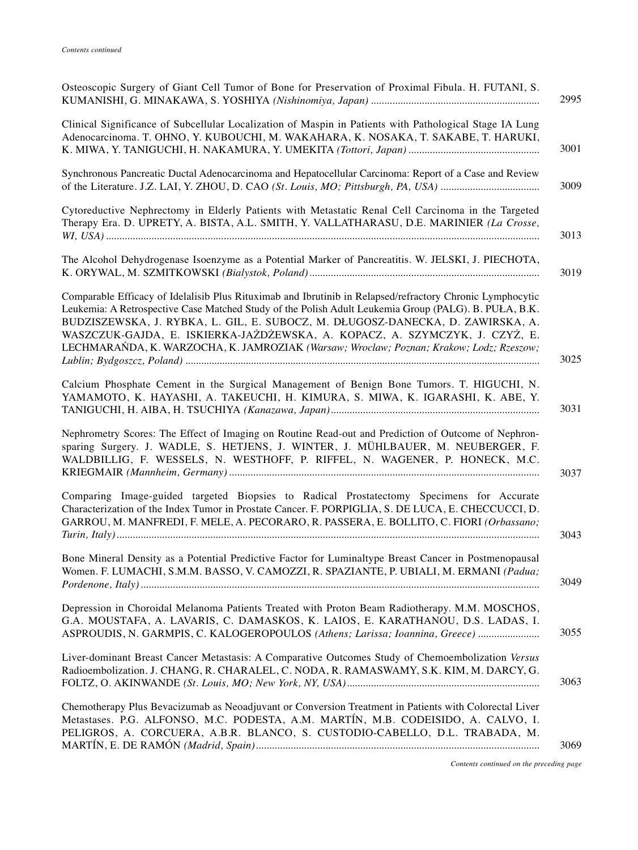| Osteoscopic Surgery of Giant Cell Tumor of Bone for Preservation of Proximal Fibula. H. FUTANI, S.<br>2995                                                                                                                                                                                                                                                                                                                                                                             |
|----------------------------------------------------------------------------------------------------------------------------------------------------------------------------------------------------------------------------------------------------------------------------------------------------------------------------------------------------------------------------------------------------------------------------------------------------------------------------------------|
| Clinical Significance of Subcellular Localization of Maspin in Patients with Pathological Stage IA Lung<br>Adenocarcinoma. T. OHNO, Y. KUBOUCHI, M. WAKAHARA, K. NOSAKA, T. SAKABE, T. HARUKI,<br>3001                                                                                                                                                                                                                                                                                 |
| Synchronous Pancreatic Ductal Adenocarcinoma and Hepatocellular Carcinoma: Report of a Case and Review<br>3009                                                                                                                                                                                                                                                                                                                                                                         |
| Cytoreductive Nephrectomy in Elderly Patients with Metastatic Renal Cell Carcinoma in the Targeted<br>Therapy Era. D. UPRETY, A. BISTA, A.L. SMITH, Y. VALLATHARASU, D.E. MARINIER (La Crosse,<br>3013                                                                                                                                                                                                                                                                                 |
| The Alcohol Dehydrogenase Isoenzyme as a Potential Marker of Pancreatitis. W. JELSKI, J. PIECHOTA,<br>3019                                                                                                                                                                                                                                                                                                                                                                             |
| Comparable Efficacy of Idelalisib Plus Rituximab and Ibrutinib in Relapsed/refractory Chronic Lymphocytic<br>Leukemia: A Retrospective Case Matched Study of the Polish Adult Leukemia Group (PALG). B. PUŁA, B.K.<br>BUDZISZEWSKA, J. RYBKA, L. GIL, E. SUBOCZ, M. DŁUGOSZ-DANECKA, D. ZAWIRSKA, A.<br>WASZCZUK-GAJDA, E. ISKIERKA-JAŻDŻEWSKA, A. KOPACZ, A. SZYMCZYK, J. CZYŻ, E.<br>LECHMARAŃDA, K. WARZOCHA, K. JAMROZIAK (Warsaw; Wroclaw; Poznan; Krakow; Lodz; Rzeszow;<br>3025 |
| Calcium Phosphate Cement in the Surgical Management of Benign Bone Tumors. T. HIGUCHI, N.<br>YAMAMOTO, K. HAYASHI, A. TAKEUCHI, H. KIMURA, S. MIWA, K. IGARASHI, K. ABE, Y.<br>3031                                                                                                                                                                                                                                                                                                    |
| Nephrometry Scores: The Effect of Imaging on Routine Read-out and Prediction of Outcome of Nephron-<br>sparing Surgery. J. WADLE, S. HETJENS, J. WINTER, J. MÜHLBAUER, M. NEUBERGER, F.<br>WALDBILLIG, F. WESSELS, N. WESTHOFF, P. RIFFEL, N. WAGENER, P. HONECK, M.C.<br>3037                                                                                                                                                                                                         |
| Comparing Image-guided targeted Biopsies to Radical Prostatectomy Specimens for Accurate<br>Characterization of the Index Tumor in Prostate Cancer. F. PORPIGLIA, S. DE LUCA, E. CHECCUCCI, D.<br>GARROU, M. MANFREDI, F. MELE, A. PECORARO, R. PASSERA, E. BOLLITO, C. FIORI (Orbassano;<br>3043                                                                                                                                                                                      |
| Bone Mineral Density as a Potential Predictive Factor for Luminaltype Breast Cancer in Postmenopausal<br>Women. F. LUMACHI, S.M.M. BASSO, V. CAMOZZI, R. SPAZIANTE, P. UBIALI, M. ERMANI (Padua;<br>3049                                                                                                                                                                                                                                                                               |
| Depression in Choroidal Melanoma Patients Treated with Proton Beam Radiotherapy. M.M. MOSCHOS,<br>G.A. MOUSTAFA, A. LAVARIS, C. DAMASKOS, K. LAIOS, E. KARATHANOU, D.S. LADAS, I.<br>3055<br>ASPROUDIS, N. GARMPIS, C. KALOGEROPOULOS (Athens; Larissa; Ioannina, Greece)                                                                                                                                                                                                              |
| Liver-dominant Breast Cancer Metastasis: A Comparative Outcomes Study of Chemoembolization Versus<br>Radioembolization. J. CHANG, R. CHARALEL, C. NODA, R. RAMASWAMY, S.K. KIM, M. DARCY, G.<br>3063                                                                                                                                                                                                                                                                                   |
| Chemotherapy Plus Bevacizumab as Neoadjuvant or Conversion Treatment in Patients with Colorectal Liver<br>Metastases. P.G. ALFONSO, M.C. PODESTA, A.M. MARTÍN, M.B. CODEISIDO, A. CALVO, I.<br>PELIGROS, A. CORCUERA, A.B.R. BLANCO, S. CUSTODIO-CABELLO, D.L. TRABADA, M.<br>3069                                                                                                                                                                                                     |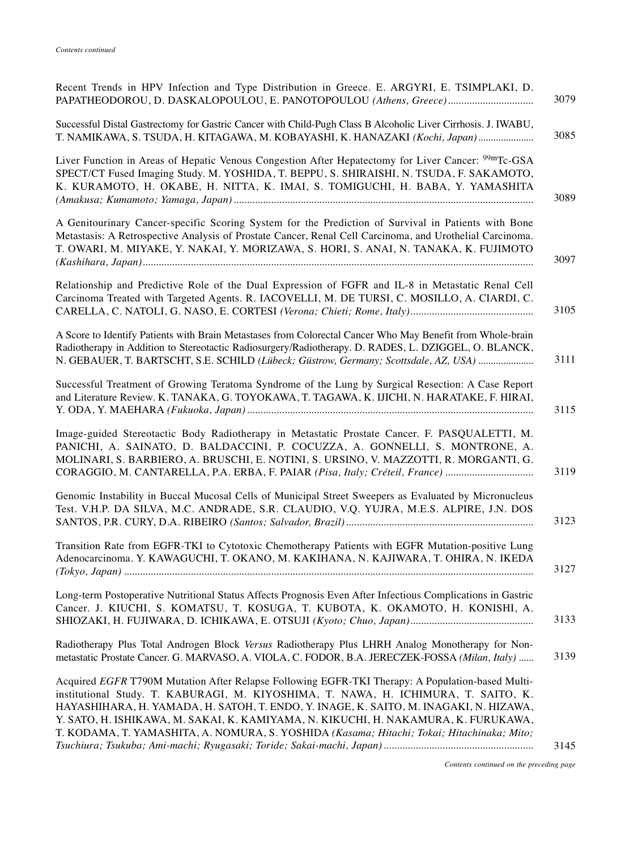| Recent Trends in HPV Infection and Type Distribution in Greece. E. ARGYRI, E. TSIMPLAKI, D.                                                                                                                                                                                                                                                                                                                                                                         | 3079 |
|---------------------------------------------------------------------------------------------------------------------------------------------------------------------------------------------------------------------------------------------------------------------------------------------------------------------------------------------------------------------------------------------------------------------------------------------------------------------|------|
| Successful Distal Gastrectomy for Gastric Cancer with Child-Pugh Class B Alcoholic Liver Cirrhosis. J. IWABU,<br>T. NAMIKAWA, S. TSUDA, H. KITAGAWA, M. KOBAYASHI, K. HANAZAKI (Kochi, Japan)                                                                                                                                                                                                                                                                       | 3085 |
| Liver Function in Areas of Hepatic Venous Congestion After Hepatectomy for Liver Cancer: <sup>99m</sup> Tc-GSA<br>SPECT/CT Fused Imaging Study. M. YOSHIDA, T. BEPPU, S. SHIRAISHI, N. TSUDA, F. SAKAMOTO,<br>K. KURAMOTO, H. OKABE, H. NITTA, K. IMAI, S. TOMIGUCHI, H. BABA, Y. YAMASHITA                                                                                                                                                                         | 3089 |
| A Genitourinary Cancer-specific Scoring System for the Prediction of Survival in Patients with Bone<br>Metastasis: A Retrospective Analysis of Prostate Cancer, Renal Cell Carcinoma, and Urothelial Carcinoma.<br>T. OWARI, M. MIYAKE, Y. NAKAI, Y. MORIZAWA, S. HORI, S. ANAI, N. TANAKA, K. FUJIMOTO                                                                                                                                                             | 3097 |
| Relationship and Predictive Role of the Dual Expression of FGFR and IL-8 in Metastatic Renal Cell<br>Carcinoma Treated with Targeted Agents. R. IACOVELLI, M. DE TURSI, C. MOSILLO, A. CIARDI, C.                                                                                                                                                                                                                                                                   | 3105 |
| A Score to Identify Patients with Brain Metastases from Colorectal Cancer Who May Benefit from Whole-brain<br>Radiotherapy in Addition to Stereotactic Radiosurgery/Radiotherapy. D. RADES, L. DZIGGEL, O. BLANCK,<br>N. GEBAUER, T. BARTSCHT, S.E. SCHILD (Lübeck; Güstrow, Germany; Scottsdale, AZ, USA)                                                                                                                                                          | 3111 |
| Successful Treatment of Growing Teratoma Syndrome of the Lung by Surgical Resection: A Case Report<br>and Literature Review. K. TANAKA, G. TOYOKAWA, T. TAGAWA, K. IJICHI, N. HARATAKE, F. HIRAI,                                                                                                                                                                                                                                                                   | 3115 |
| Image-guided Stereotactic Body Radiotherapy in Metastatic Prostate Cancer. F. PASQUALETTI, M.<br>PANICHI, A. SAINATO, D. BALDACCINI, P. COCUZZA, A. GONNELLI, S. MONTRONE, A.<br>MOLINARI, S. BARBIERO, A. BRUSCHI, E. NOTINI, S. URSINO, V. MAZZOTTI, R. MORGANTI, G.<br>CORAGGIO, M. CANTARELLA, P.A. ERBA, F. PAIAR (Pisa, Italy; Créteil, France)                                                                                                               | 3119 |
| Genomic Instability in Buccal Mucosal Cells of Municipal Street Sweepers as Evaluated by Micronucleus<br>Test. V.H.P. DA SILVA, M.C. ANDRADE, S.R. CLAUDIO, V.Q. YUJRA, M.E.S. ALPIRE, J.N. DOS                                                                                                                                                                                                                                                                     | 3123 |
| Transition Rate from EGFR-TKI to Cytotoxic Chemotherapy Patients with EGFR Mutation-positive Lung<br>Adenocarcinoma. Y. KAWAGUCHI, T. OKANO, M. KAKIHANA, N. KAJIWARA, T. OHIRA, N. IKEDA                                                                                                                                                                                                                                                                           | 3127 |
| Long-term Postoperative Nutritional Status Affects Prognosis Even After Infectious Complications in Gastric<br>Cancer. J. KIUCHI, S. KOMATSU, T. KOSUGA, T. KUBOTA, K. OKAMOTO, H. KONISHI, A.                                                                                                                                                                                                                                                                      | 3133 |
| Radiotherapy Plus Total Androgen Block Versus Radiotherapy Plus LHRH Analog Monotherapy for Non-<br>metastatic Prostate Cancer. G. MARVASO, A. VIOLA, C. FODOR, B.A. JERECZEK-FOSSA (Milan, Italy)                                                                                                                                                                                                                                                                  | 3139 |
| Acquired EGFR T790M Mutation After Relapse Following EGFR-TKI Therapy: A Population-based Multi-<br>institutional Study. T. KABURAGI, M. KIYOSHIMA, T. NAWA, H. ICHIMURA, T. SAITO, K.<br>HAYASHIHARA, H. YAMADA, H. SATOH, T. ENDO, Y. INAGE, K. SAITO, M. INAGAKI, N. HIZAWA,<br>Y. SATO, H. ISHIKAWA, M. SAKAI, K. KAMIYAMA, N. KIKUCHI, H. NAKAMURA, K. FURUKAWA,<br>T. KODAMA, T. YAMASHITA, A. NOMURA, S. YOSHIDA (Kasama; Hitachi; Tokai; Hitachinaka; Mito; | 3145 |